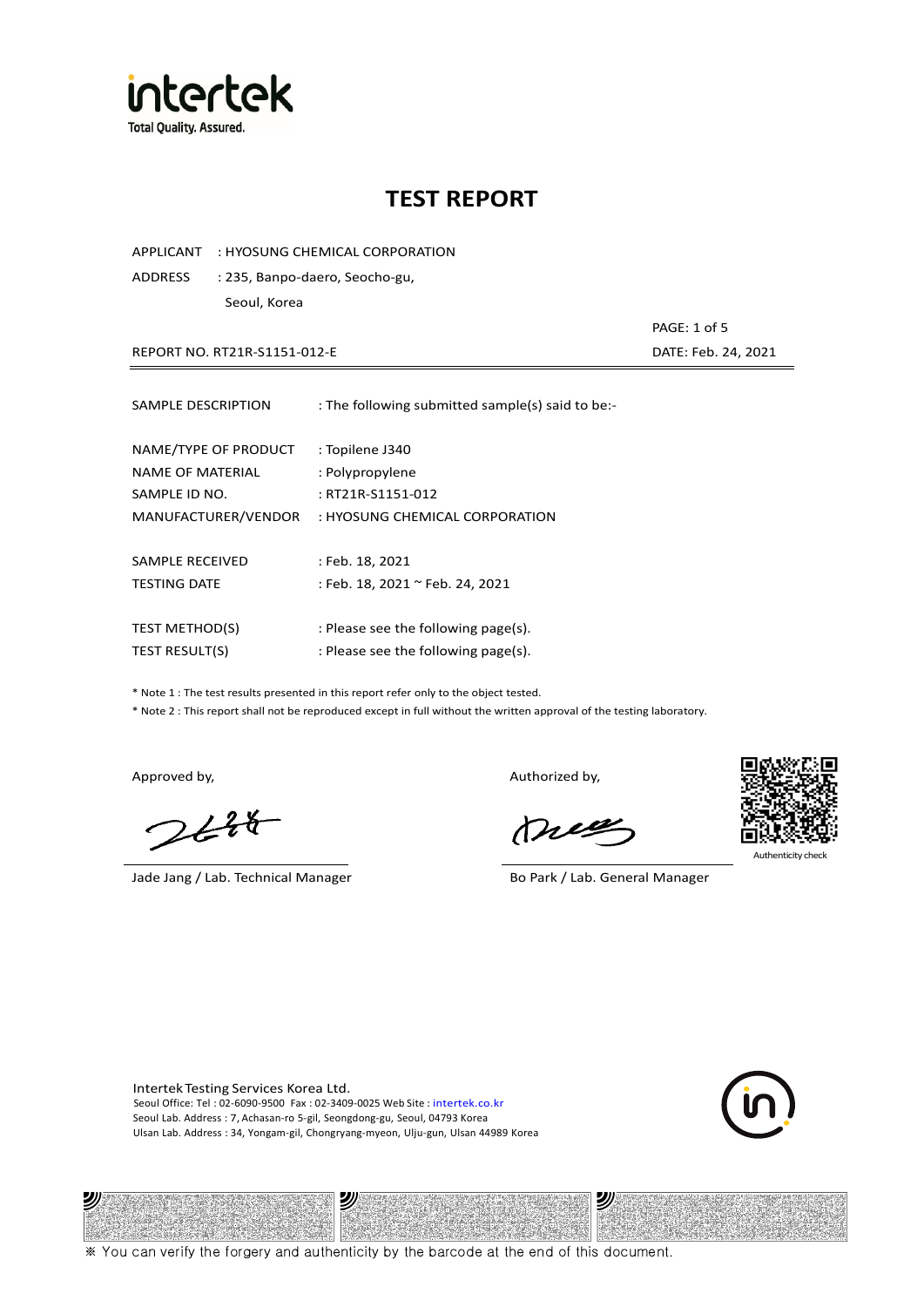

APPLICANT : HYOSUNG CHEMICAL CORPORATION

ADDRESS : 235, Banpo-daero, Seocho-gu, Seoul, Korea

REPORT NO. RT21R-S1151-012-E DATE: Feb. 24, 2021

| SAMPLE DESCRIPTION                                                                      | : The following submitted sample(s) said to be:-                                          |
|-----------------------------------------------------------------------------------------|-------------------------------------------------------------------------------------------|
| NAME/TYPE OF PRODUCT<br><b>NAME OF MATERIAL</b><br>SAMPLE ID NO.<br>MANUFACTURER/VENDOR | : Topilene J340<br>: Polypropylene<br>: RT21R-S1151-012<br>: HYOSUNG CHEMICAL CORPORATION |
| SAMPLE RECEIVED                                                                         | : Feb. 18, 2021                                                                           |
| <b>TESTING DATE</b>                                                                     | : Feb. 18, 2021 ~ Feb. 24, 2021                                                           |
| <b>TEST METHOD(S)</b>                                                                   | : Please see the following page(s).                                                       |
| TEST RESULT(S)                                                                          | : Please see the following page(s).                                                       |

\* Note 1 : The test results presented in this report refer only to the object tested.

\* Note 2 : This report shall not be reproduced except in full without the written approval of the testing laboratory.

 $248$ 

Jade Jang / Lab. Technical Manager Bo Park / Lab. General Manager

Approved by, Authorized by, Authorized by,

mes



Authenticity check

PAGE: 1 of 5

Intertek Testing Services Korea Ltd. Seoul Office: Tel : 02-6090-9500 Fax : 02-3409-0025 Web Site : intertek.co.kr Seoul Lab. Address : 7, Achasan-ro 5-gil, Seongdong-gu, Seoul, 04793 Korea Ulsan Lab. Address : 34, Yongam-gil, Chongryang-myeon, Ulju-gun, Ulsan 44989 Korea



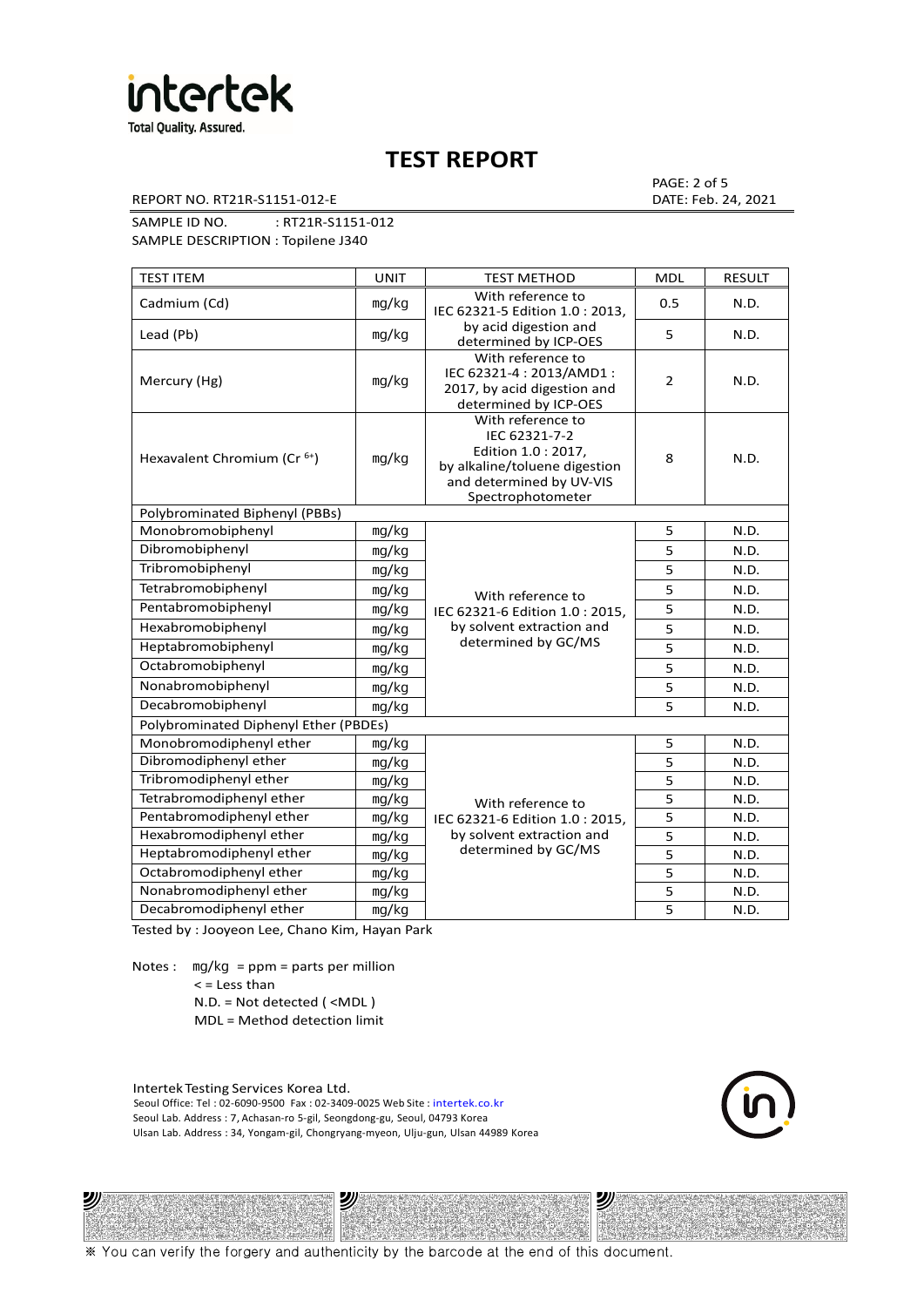

REPORT NO. RT21R-S1151-012-E DATE: Feb. 24, 2021

PAGE: 2 of 5

SAMPLE ID NO. : RT21R-S1151-012

SAMPLE DESCRIPTION : Topilene J340

| <b>TEST ITEM</b>                        | <b>UNIT</b> | <b>TEST METHOD</b>                                                                                                                          | <b>MDL</b>     | <b>RESULT</b> |
|-----------------------------------------|-------------|---------------------------------------------------------------------------------------------------------------------------------------------|----------------|---------------|
| Cadmium (Cd)                            | mg/kg       | With reference to<br>IEC 62321-5 Edition 1.0: 2013.                                                                                         | 0.5            | N.D.          |
| Lead (Pb)                               | mg/kg       | by acid digestion and<br>determined by ICP-OES                                                                                              | 5              | N.D.          |
| Mercury (Hg)                            | mg/kg       | With reference to<br>IEC 62321-4 : 2013/AMD1 :<br>2017, by acid digestion and<br>determined by ICP-OES                                      | $\overline{2}$ | N.D.          |
| Hexavalent Chromium (Cr <sup>6+</sup> ) | mg/kg       | With reference to<br>IEC 62321-7-2<br>Edition 1.0 : 2017,<br>by alkaline/toluene digestion<br>and determined by UV-VIS<br>Spectrophotometer | 8              | N.D.          |
| Polybrominated Biphenyl (PBBs)          |             |                                                                                                                                             |                |               |
| Monobromobiphenyl                       | mg/kg       |                                                                                                                                             | 5              | N.D.          |
| Dibromobiphenyl                         | mg/kg       |                                                                                                                                             | 5              | N.D.          |
| Tribromobiphenyl                        | mg/kg       |                                                                                                                                             | 5              | N.D.          |
| Tetrabromobiphenyl                      | mg/kg       | With reference to                                                                                                                           | 5              | N.D.          |
| Pentabromobiphenyl                      | mg/kg       | IEC 62321-6 Edition 1.0 : 2015,                                                                                                             | 5              | N.D.          |
| Hexabromobiphenyl                       | mg/kg       | by solvent extraction and                                                                                                                   | 5              | N.D.          |
| Heptabromobiphenyl                      | mg/kg       | determined by GC/MS                                                                                                                         | 5              | N.D.          |
| Octabromobiphenyl                       | mg/kg       |                                                                                                                                             | 5              | N.D.          |
| Nonabromobiphenyl                       | mg/kg       |                                                                                                                                             | 5              | N.D.          |
| Decabromobiphenyl                       | mg/kg       |                                                                                                                                             | 5              | N.D.          |
| Polybrominated Diphenyl Ether (PBDEs)   |             |                                                                                                                                             |                |               |
| Monobromodiphenyl ether                 | mg/kg       |                                                                                                                                             | 5              | N.D.          |
| Dibromodiphenyl ether                   | mg/kg       |                                                                                                                                             | 5              | N.D.          |
| Tribromodiphenyl ether                  | mg/kg       |                                                                                                                                             | 5              | N.D.          |
| Tetrabromodiphenyl ether                | mg/kg       | With reference to                                                                                                                           | 5              | N.D.          |
| Pentabromodiphenyl ether                | mg/kg       | IEC 62321-6 Edition 1.0: 2015,                                                                                                              | 5              | N.D.          |
| Hexabromodiphenyl ether                 | mg/kg       | by solvent extraction and                                                                                                                   | 5              | N.D.          |
| Heptabromodiphenyl ether                | mg/kg       | determined by GC/MS                                                                                                                         | 5              | N.D.          |
| Octabromodiphenyl ether                 | mg/kg       |                                                                                                                                             | 5              | N.D.          |
| Nonabromodiphenyl ether                 | mg/kg       |                                                                                                                                             | 5              | N.D.          |
| Decabromodiphenyl ether                 | mg/kg       |                                                                                                                                             | 5              | N.D.          |

Tested by : Jooyeon Lee, Chano Kim, Hayan Park

Notes : mg/kg = ppm = parts per million  $<$  = Less than N.D. = Not detected ( <MDL )

沙

MDL = Method detection limit

Intertek Testing Services Korea Ltd. Seoul Office: Tel : 02-6090-9500 Fax : 02-3409-0025 Web Site : intertek.co.kr Seoul Lab. Address : 7, Achasan-ro 5-gil, Seongdong-gu, Seoul, 04793 Korea Ulsan Lab. Address : 34, Yongam-gil, Chongryang-myeon, Ulju-gun, Ulsan 44989 Korea

沙



沙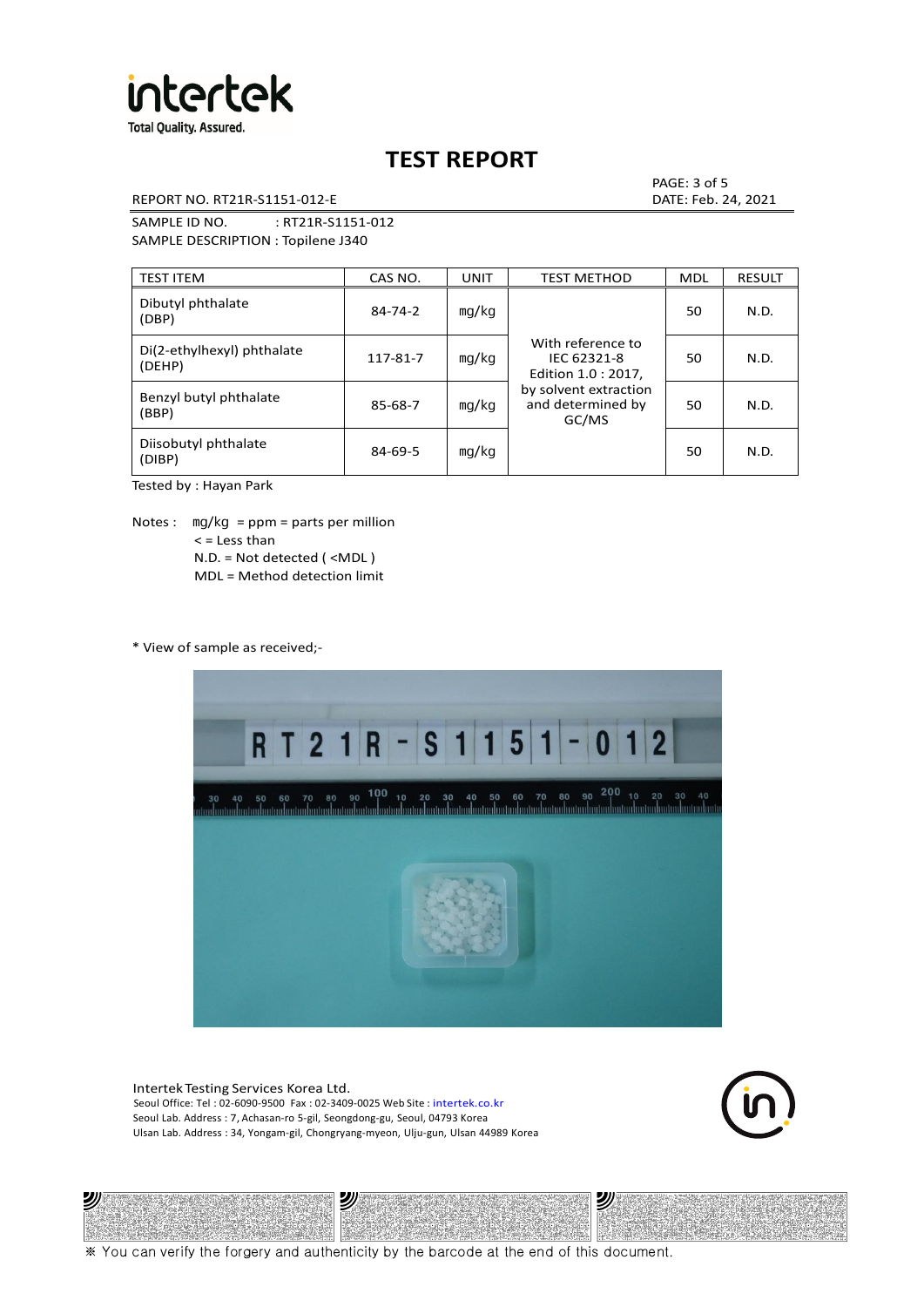

REPORT NO. RT21R-S1151-012-E DATE: Feb. 24, 2021

PAGE: 3 of 5

SAMPLE ID NO. : RT21R-S1151-012 SAMPLE DESCRIPTION : Topilene J340

| <b>TEST ITEM</b>                     | CAS NO.       | UNIT  | <b>TEST METHOD</b>                                                                                             | <b>MDL</b> | <b>RESULT</b> |
|--------------------------------------|---------------|-------|----------------------------------------------------------------------------------------------------------------|------------|---------------|
| Dibutyl phthalate<br>(DBP)           | $84 - 74 - 2$ | mg/kg | With reference to<br>IEC 62321-8<br>Edition 1.0 : 2017,<br>by solvent extraction<br>and determined by<br>GC/MS | 50         | N.D.          |
| Di(2-ethylhexyl) phthalate<br>(DEHP) | 117-81-7      | mg/kg |                                                                                                                | 50         | N.D.          |
| Benzyl butyl phthalate<br>(BBP)      | 85-68-7       | mg/kg |                                                                                                                | 50         | N.D.          |
| Diisobutyl phthalate<br>(DIBP)       | $84 - 69 - 5$ | mg/kg |                                                                                                                | 50         | N.D.          |

Tested by : Hayan Park

Notes :  $mq/kg = ppm = parts per million$  $<$  = Less than N.D. = Not detected ( <MDL ) MDL = Method detection limit

\* View of sample as received;-



Intertek Testing Services Korea Ltd. Seoul Office: Tel : 02-6090-9500 Fax : 02-3409-0025 Web Site : intertek.co.kr Seoul Lab. Address : 7, Achasan-ro 5-gil, Seongdong-gu, Seoul, 04793 Korea Ulsan Lab. Address : 34, Yongam-gil, Chongryang-myeon, Ulju-gun, Ulsan 44989 Korea





※ You can verify the forgery and authenticity by the barcode at the end of this document.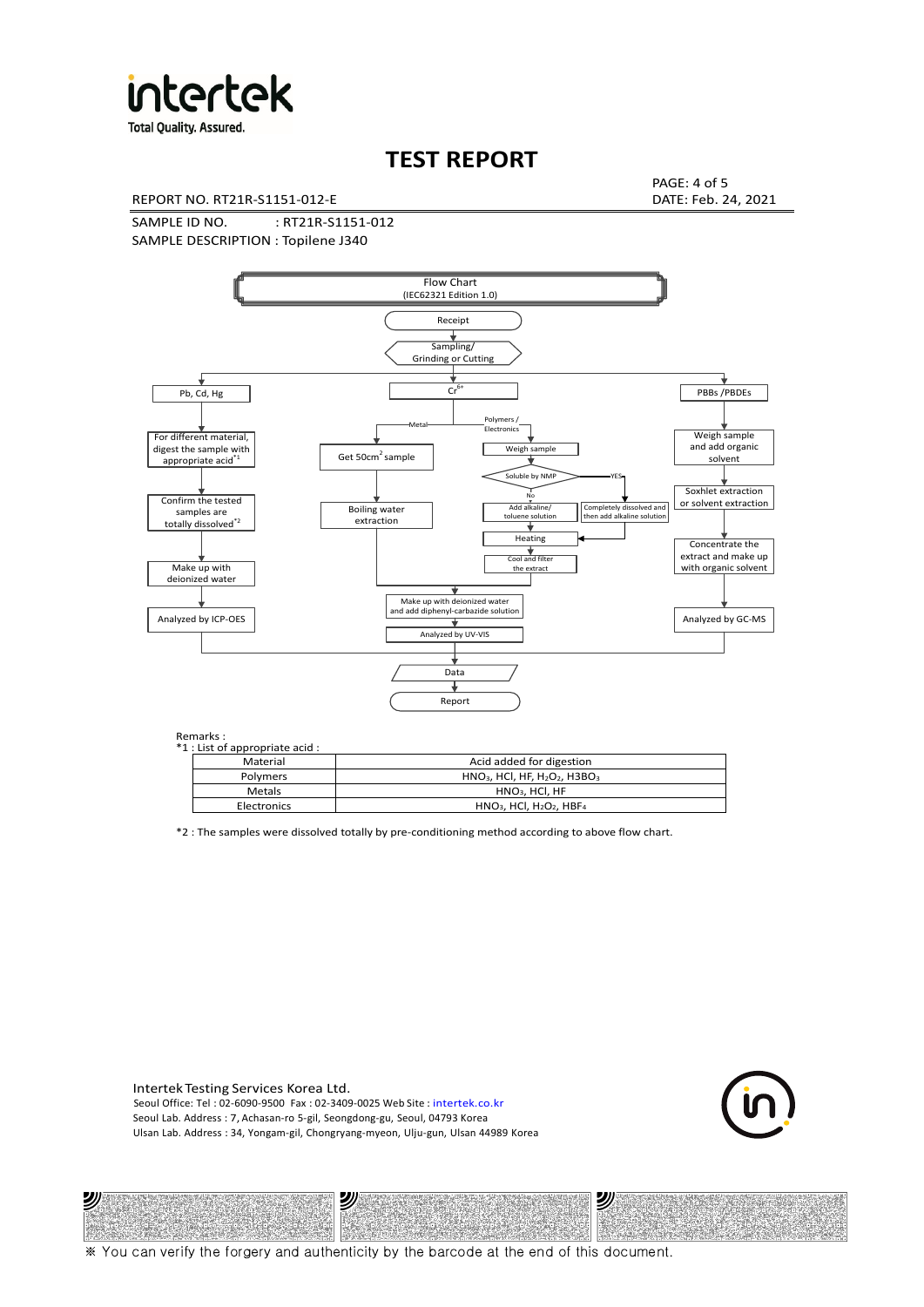

**Total Quality. Assured.** 

# **TEST REPORT**

REPORT NO. RT21R-S1151-012-E DATE: Feb. 24, 2021

PAGE: 4 of 5

SAMPLE ID NO. : RT21R-S1151-012 SAMPLE DESCRIPTION : Topilene J340



#### Remarks :

沙

| . כוווטווש<br>1 : List of appropriate acid : |                                                                     |
|----------------------------------------------|---------------------------------------------------------------------|
| Material                                     | Acid added for digestion                                            |
| Polymers                                     | $HNO3$ , HCl, HF, H <sub>2</sub> O <sub>2</sub> , H3BO <sub>3</sub> |
| Metals                                       | $HNO3$ , HCl, HF                                                    |
| Electronics                                  | $HNO3$ , HCl, H <sub>2</sub> O <sub>2</sub> , HBF <sub>4</sub>      |
|                                              |                                                                     |

\*2 : The samples were dissolved totally by pre-conditioning method according to above flow chart.

Intertek Testing Services Korea Ltd. Seoul Office: Tel : 02-6090-9500 Fax : 02-3409-0025 Web Site : intertek.co.kr Seoul Lab. Address : 7, Achasan-ro 5-gil, Seongdong-gu, Seoul, 04793 Korea Ulsan Lab. Address : 34, Yongam-gil, Chongryang-myeon, Ulju-gun, Ulsan 44989 Korea

沙



沙